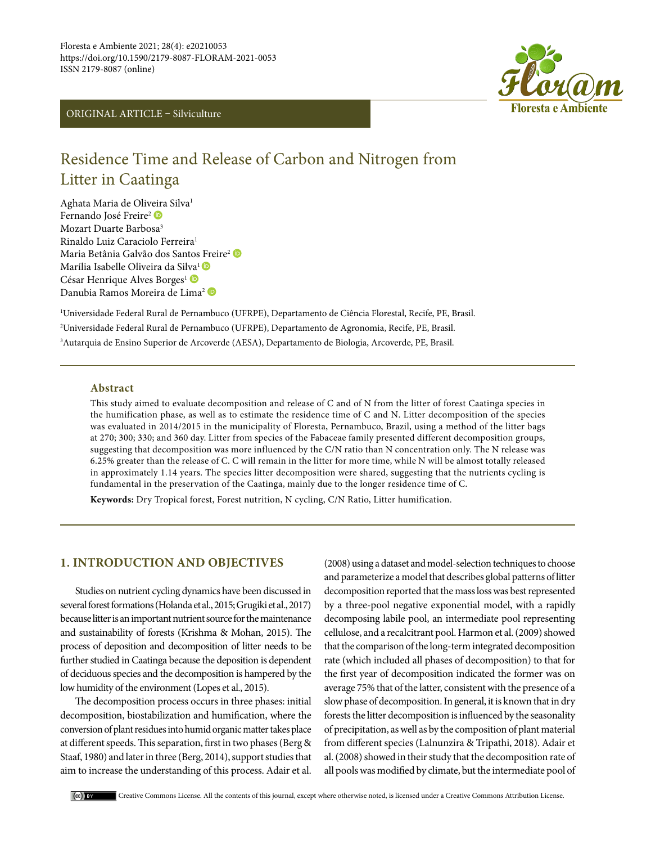



# Residence Time and Release of Carbon and Nitrogen from Litter in Caatinga

Aghata Maria de Oliveira Silva1 Fernando José Freire<sup>[2](https://orcid.org/0000-0002-3264-712X)</sup> Mozart Duarte Barbosa3 Rinaldo Luiz Caraciolo Ferreira1 Maria Betânia Galvão dos Santos [Fr](https://orcid.org/0000-0002-5506-8884)eire<sup>2</sup> Marília Isabelle Oliveira da Si[lva](https://orcid.org/0000-0001-9526-4081)<sup>1</sup> César Henrique Alves Borges<sup>1</sup> Danubia Ramos Moreira de Lima<sup>2</sup>

1 Universidade Federal Rural de Pernambuco (UFRPE), Departamento de Ciência Florestal, Recife, PE, Brasil. 2 Universidade Federal Rural de Pernambuco (UFRPE), Departamento de Agronomia, Recife, PE, Brasil. 3 Autarquia de Ensino Superior de Arcoverde (AESA), Departamento de Biologia, Arcoverde, PE, Brasil.

## **Abstract**

This study aimed to evaluate decomposition and release of C and of N from the litter of forest Caatinga species in the humification phase, as well as to estimate the residence time of C and N. Litter decomposition of the species was evaluated in 2014/2015 in the municipality of Floresta, Pernambuco, Brazil, using a method of the litter bags at 270; 300; 330; and 360 day. Litter from species of the Fabaceae family presented different decomposition groups, suggesting that decomposition was more influenced by the C/N ratio than N concentration only. The N release was 6.25% greater than the release of C. C will remain in the litter for more time, while N will be almost totally released in approximately 1.14 years. The species litter decomposition were shared, suggesting that the nutrients cycling is fundamental in the preservation of the Caatinga, mainly due to the longer residence time of C.

**Keywords:** Dry Tropical forest, Forest nutrition, N cycling, C/N Ratio, Litter humification.

# **1. INTRODUCTION AND OBJECTIVES**

Studies on nutrient cycling dynamics have been discussed in several forest formations (Holanda et al., 2015; Grugiki et al., 2017) because litter is an important nutrient source for the maintenance and sustainability of forests (Krishma & Mohan, 2015). The process of deposition and decomposition of litter needs to be further studied in Caatinga because the deposition is dependent of deciduous species and the decomposition is hampered by the low humidity of the environment (Lopes et al., 2015).

The decomposition process occurs in three phases: initial decomposition, biostabilization and humification, where the conversion of plant residues into humid organic matter takes place at different speeds. This separation, first in two phases (Berg & Staaf, 1980) and later in three (Berg, 2014), support studies that aim to increase the understanding of this process. Adair et al.

(2008) using a dataset and model‐selection techniques to choose and parameterize a model that describes global patterns of litter decomposition reported that the mass loss was best represented by a three‐pool negative exponential model, with a rapidly decomposing labile pool, an intermediate pool representing cellulose, and a recalcitrant pool. Harmon et al. (2009) showed that the comparison of the long‐term integrated decomposition rate (which included all phases of decomposition) to that for the first year of decomposition indicated the former was on average 75% that of the latter, consistent with the presence of a slow phase of decomposition. In general, it is known that in dry forests the litter decomposition is influenced by the seasonality of precipitation, as well as by the composition of plant material from different species (Lalnunzira & Tripathi, 2018). Adair et al. (2008) showed in their study that the decomposition rate of all pools was modified by climate, but the intermediate pool of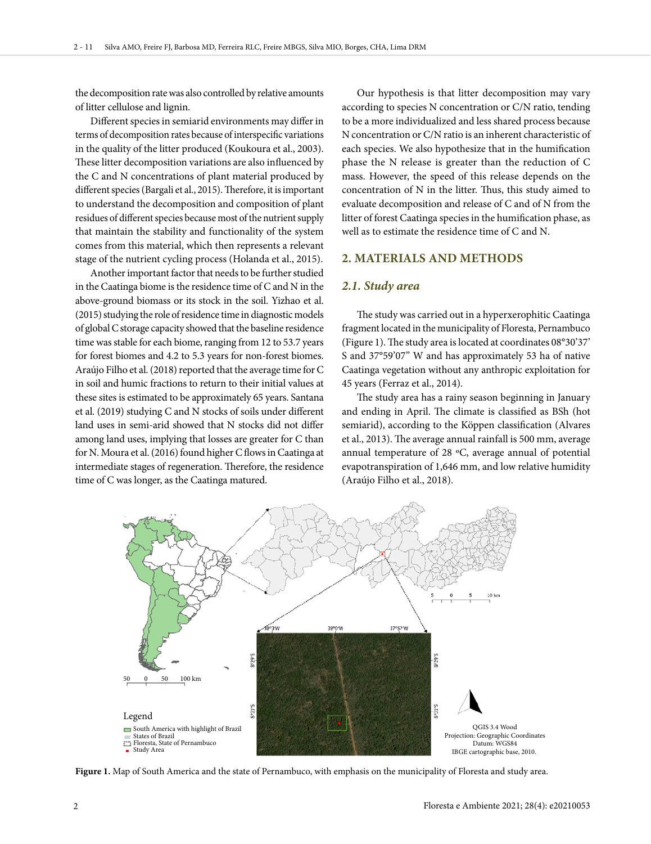the decomposition rate was also controlled by relative amounts of litter cellulose and lignin.

Different species in semiarid environments may differ in terms of decomposition rates because of interspecific variations in the quality of the litter produced (Koukoura et al., 2003). These litter decomposition variations are also influenced by the C and N concentrations of plant material produced by different species (Bargali et al., 2015). Therefore, it is important to understand the decomposition and composition of plant residues of different species because most of the nutrient supply that maintain the stability and functionality of the system comes from this material, which then represents a relevant stage of the nutrient cycling process (Holanda et al., 2015).

Another important factor that needs to be further studied in the Caatinga biome is the residence time of C and N in the above-ground biomass or its stock in the soil. Yizhao et al. (2015) studying the role of residence time in diagnostic models of global C storage capacity showed that the baseline residence time was stable for each biome, ranging from 12 to 53.7 years for forest biomes and 4.2 to 5.3 years for non-forest biomes. Araújo Filho et al. (2018) reported that the average time for C in soil and humic fractions to return to their initial values at these sites is estimated to be approximately 65 years. Santana et al. (2019) studying C and N stocks of soils under different land uses in semi-arid showed that N stocks did not differ among land uses, implying that losses are greater for C than for N. Moura et al. (2016) found higher C flows in Caatinga at intermediate stages of regeneration. Therefore, the residence time of C was longer, as the Caatinga matured.

Our hypothesis is that litter decomposition may vary according to species N concentration or C/N ratio, tending to be a more individualized and less shared process because N concentration or C/N ratio is an inherent characteristic of each species. We also hypothesize that in the humification phase the N release is greater than the reduction of C mass. However, the speed of this release depends on the concentration of N in the litter. Thus, this study aimed to evaluate decomposition and release of C and of N from the litter of forest Caatinga species in the humification phase, as well as to estimate the residence time of C and N.

## **2. MATERIALS AND METHODS**

#### *2.1. Study area*

The study was carried out in a hyperxerophitic Caatinga fragment located in the municipality of Floresta, Pernambuco (Figure 1). The study area is located at coordinates 08°30'37' S and 37°59'07" W and has approximately 53 ha of native Caatinga vegetation without any anthropic exploitation for 45 years (Ferraz et al., 2014).

The study area has a rainy season beginning in January and ending in April. The climate is classified as BSh (hot semiarid), according to the Köppen classification (Alvares et al., 2013). The average annual rainfall is 500 mm, average annual temperature of 28 ºC, average annual of potential evapotranspiration of 1,646 mm, and low relative humidity (Araújo Filho et al., 2018).



**Figure 1.** Map of South America and the state of Pernambuco, with emphasis on the municipality of Floresta and study area.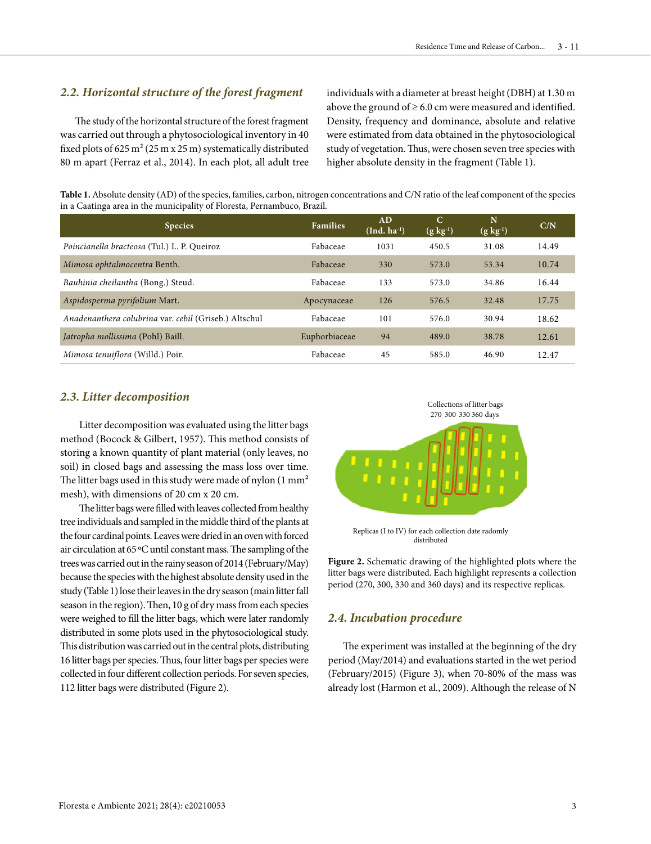## *2.2. Horizontal structure of the forest fragment*

The study of the horizontal structure of the forest fragment was carried out through a phytosociological inventory in 40 fixed plots of 625 m² (25 m x 25 m) systematically distributed 80 m apart (Ferraz et al., 2014). In each plot, all adult tree individuals with a diameter at breast height (DBH) at 1.30 m above the ground of  $\geq$  6.0 cm were measured and identified. Density, frequency and dominance, absolute and relative were estimated from data obtained in the phytosociological study of vegetation. Thus, were chosen seven tree species with higher absolute density in the fragment (Table 1).

**Table 1.** Absolute density (AD) of the species, families, carbon, nitrogen concentrations and C/N ratio of the leaf component of the species in a Caatinga area in the municipality of Floresta, Pernambuco, Brazil.

| <b>Species</b>                                        | <b>Families</b> | AD<br>$(Ind. ha-1)$ | C<br>$(g \, kg^{-1})$ | N<br>$(g \, kg^{-1})$ | C/N   |
|-------------------------------------------------------|-----------------|---------------------|-----------------------|-----------------------|-------|
| Poincianella bracteosa (Tul.) L. P. Queiroz           | Fabaceae        | 1031                | 450.5                 | 31.08                 | 14.49 |
| Mimosa ophtalmocentra Benth.                          | Fabaceae        | 330                 | 573.0                 | 53.34                 | 10.74 |
| Bauhinia cheilantha (Bong.) Steud.                    | Fabaceae        | 133                 | 573.0                 | 34.86                 | 16.44 |
| Aspidosperma pyrifolium Mart.                         | Apocynaceae     | 126                 | 576.5                 | 32.48                 | 17.75 |
| Anadenanthera colubrina var. cebil (Griseb.) Altschul | Fabaceae        | 101                 | 576.0                 | 30.94                 | 18.62 |
| Jatropha mollissima (Pohl) Baill.                     | Euphorbiaceae   | 94                  | 489.0                 | 38.78                 | 12.61 |
| Mimosa tenuiflora (Willd.) Poir.                      | Fabaceae        | 45                  | 585.0                 | 46.90                 | 12.47 |

## *2.3. Litter decomposition*

Litter decomposition was evaluated using the litter bags method (Bocock & Gilbert, 1957). This method consists of storing a known quantity of plant material (only leaves, no soil) in closed bags and assessing the mass loss over time. The litter bags used in this study were made of nylon (1 mm<sup>2</sup> mesh), with dimensions of 20 cm x 20 cm.

The litter bags were filled with leaves collected from healthy tree individuals and sampled in the middle third of the plants at the four cardinal points. Leaves were dried in an oven with forced air circulation at 65 ºC until constant mass. The sampling of the trees was carried out in the rainy season of 2014 (February/May) because the species with the highest absolute density used in the study (Table 1) lose their leaves in the dry season (main litter fall season in the region). Then, 10 g of dry mass from each species were weighed to fill the litter bags, which were later randomly distributed in some plots used in the phytosociological study. This distribution was carried out in the central plots, distributing 16 litter bags per species. Thus, four litter bags per species were collected in four different collection periods. For seven species, 112 litter bags were distributed (Figure 2).



Replicas (I to IV) for each collection date radomly distributed

**Figure 2.** Schematic drawing of the highlighted plots where the litter bags were distributed. Each highlight represents a collection period (270, 300, 330 and 360 days) and its respective replicas.

#### *2.4. Incubation procedure*

The experiment was installed at the beginning of the dry period (May/2014) and evaluations started in the wet period (February/2015) (Figure 3), when 70-80% of the mass was already lost (Harmon et al., 2009). Although the release of N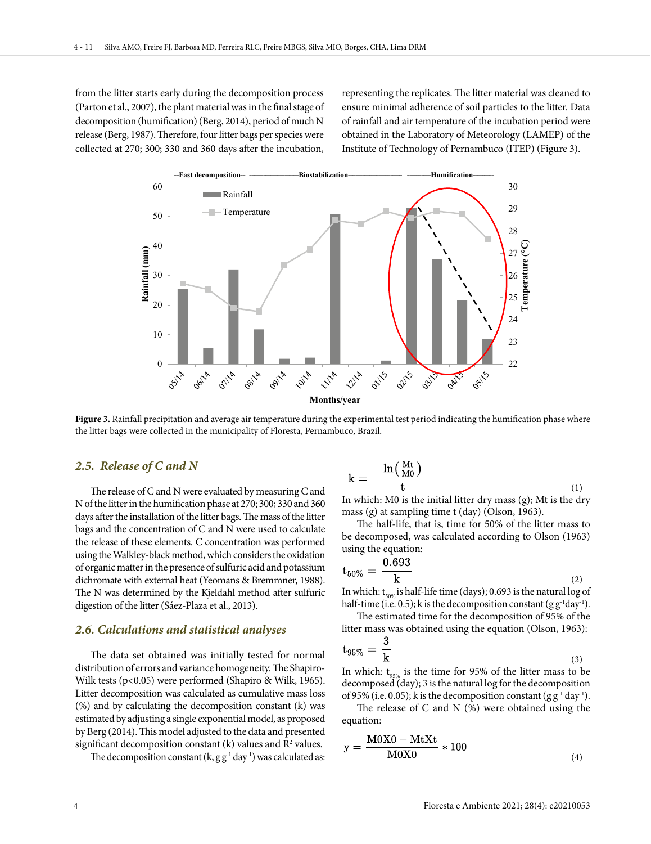from the litter starts early during the decomposition process (Parton et al., 2007), the plant material was in the final stage of decomposition (humification) (Berg, 2014), period of much N release (Berg, 1987). Therefore, four litter bags per species were collected at 270; 300; 330 and 360 days after the incubation,

representing the replicates. The litter material was cleaned to ensure minimal adherence of soil particles to the litter. Data of rainfall and air temperature of the incubation period were obtained in the Laboratory of Meteorology (LAMEP) of the Institute of Technology of Pernambuco (ITEP) (Figure 3).



Figure 3. Rainfall precipitation and average air temperature during the experimental test period indicating the humification phase where the litter bags were collected in the municipality of Floresta, Pernambuco, Brazil.

#### *2.5. Release of C and N*

The release of C and N were evaluated by measuring C and N of the litter in the humification phase at 270; 300; 330 and 360 days after the installation of the litter bags. The mass of the litter bags and the concentration of C and N were used to calculate the release of these elements. C concentration was performed using the Walkley-black method, which considers the oxidation of organic matter in the presence of sulfuric acid and potassium dichromate with external heat (Yeomans & Bremmner, 1988). The N was determined by the Kjeldahl method after sulfuric digestion of the litter (Sáez-Plaza et al., 2013).

#### *2.6. Calculations and statistical analyses*

The data set obtained was initially tested for normal distribution of errors and variance homogeneity. The Shapiro-Wilk tests (p<0.05) were performed (Shapiro & Wilk, 1965). Litter decomposition was calculated as cumulative mass loss (%) and by calculating the decomposition constant (k) was estimated by adjusting a single exponential model, as proposed by Berg (2014). This model adjusted to the data and presented significant decomposition constant  $(k)$  values and  $R<sup>2</sup>$  values.

The decomposition constant  $(k, g g^{-1} d a y^{-1})$  was calculated as:

$$
k = -\frac{\ln(\frac{Mt}{M0})}{t} \tag{1}
$$

In which: M0 is the initial litter dry mass (g); Mt is the dry mass (g) at sampling time t (day) (Olson, 1963).

The half-life, that is, time for 50% of the litter mass to be decomposed, was calculated according to Olson (1963) using the equation:

$$
t_{50\%} = \frac{0.693}{k} \tag{2}
$$

In which:  $t_{50\%}$  is half-life time (days); 0.693 is the natural log of half-time (i.e. 0.5); k is the decomposition constant (g  $g<sup>-1</sup>day<sup>-1</sup>$ ).

The estimated time for the decomposition of 95% of the litter mass was obtained using the equation (Olson, 1963):

$$
t_{95\%} = \frac{3}{k} \tag{3}
$$

In which:  $t_{\text{qsgn}}$  is the time for 95% of the litter mass to be decomposed (day); 3 is the natural log for the decomposition of 95% (i.e. 0.05); k is the decomposition constant (g  $g^{-1}$  day<sup>-1</sup>).

The release of C and N (%) were obtained using the equation:

$$
y = \frac{M0X0 - MtXt}{M0X0} * 100
$$
\n<sup>(4)</sup>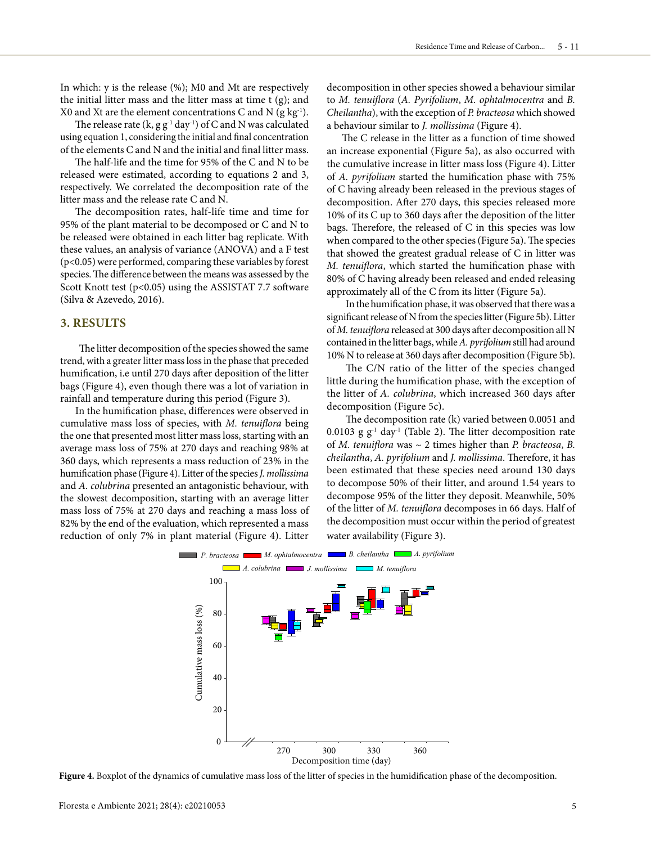In which: y is the release (%); M0 and Mt are respectively the initial litter mass and the litter mass at time t (g); and X0 and Xt are the element concentrations C and N  $(g \ kg^{-1})$ .

The release rate  $(k, g g^{-1} day^{-1})$  of C and N was calculated using equation 1, considering the initial and final concentration of the elements C and N and the initial and final litter mass.

The half-life and the time for 95% of the C and N to be released were estimated, according to equations 2 and 3, respectively. We correlated the decomposition rate of the litter mass and the release rate C and N.

The decomposition rates, half-life time and time for 95% of the plant material to be decomposed or C and N to be released were obtained in each litter bag replicate. With these values, an analysis of variance (ANOVA) and a F test (p<0.05) were performed, comparing these variables by forest species. The difference between the means was assessed by the Scott Knott test (p<0.05) using the ASSISTAT 7.7 software (Silva & Azevedo, 2016).

## **3. RESULTS**

The litter decomposition of the species showed the same trend, with a greater litter mass loss in the phase that preceded humification, i.e until 270 days after deposition of the litter bags (Figure 4), even though there was a lot of variation in rainfall and temperature during this period (Figure 3).

In the humification phase, differences were observed in cumulative mass loss of species, with *M. tenuiflora* being the one that presented most litter mass loss, starting with an average mass loss of 75% at 270 days and reaching 98% at 360 days, which represents a mass reduction of 23% in the humification phase (Figure 4). Litter of the species *J. mollissima* and *A. colubrina* presented an antagonistic behaviour, with the slowest decomposition, starting with an average litter mass loss of 75% at 270 days and reaching a mass loss of 82% by the end of the evaluation, which represented a mass reduction of only 7% in plant material (Figure 4). Litter

decomposition in other species showed a behaviour similar to *M. tenuiflora* (*A. Pyrifolium*, *M. ophtalmocentra* and *B. Cheilantha*), with the exception of *P. bracteosa* which showed a behaviour similar to *J. mollissima* (Figure 4).

The C release in the litter as a function of time showed an increase exponential (Figure 5a), as also occurred with the cumulative increase in litter mass loss (Figure 4). Litter of *A. pyrifolium* started the humification phase with 75% of C having already been released in the previous stages of decomposition. After 270 days, this species released more 10% of its C up to 360 days after the deposition of the litter bags. Therefore, the released of C in this species was low when compared to the other species (Figure 5a). The species that showed the greatest gradual release of C in litter was *M. tenuiflora*, which started the humification phase with 80% of C having already been released and ended releasing approximately all of the C from its litter (Figure 5a).

In the humification phase, it was observed that there was a significant release of N from the species litter (Figure 5b). Litter of *M. tenuiflora* released at 300 days after decomposition all N contained in the litter bags, while *A. pyrifolium* still had around 10% N to release at 360 days after decomposition (Figure 5b).

The C/N ratio of the litter of the species changed little during the humification phase, with the exception of the litter of *A. colubrina*, which increased 360 days after decomposition (Figure 5c).

The decomposition rate (k) varied between 0.0051 and 0.0103 g  $g^{-1}$  day<sup>-1</sup> (Table 2). The litter decomposition rate of *M. tenuiflora* was ~ 2 times higher than *P. bracteosa*, *B. cheilantha*, *A. pyrifolium* and *J. mollissima*. Therefore, it has been estimated that these species need around 130 days to decompose 50% of their litter, and around 1.54 years to decompose 95% of the litter they deposit. Meanwhile, 50% of the litter of *M. tenuiflora* decomposes in 66 days. Half of the decomposition must occur within the period of greatest water availability (Figure 3).



**Figure 4.** Boxplot of the dynamics of cumulative mass loss of the litter of species in the humidification phase of the decomposition.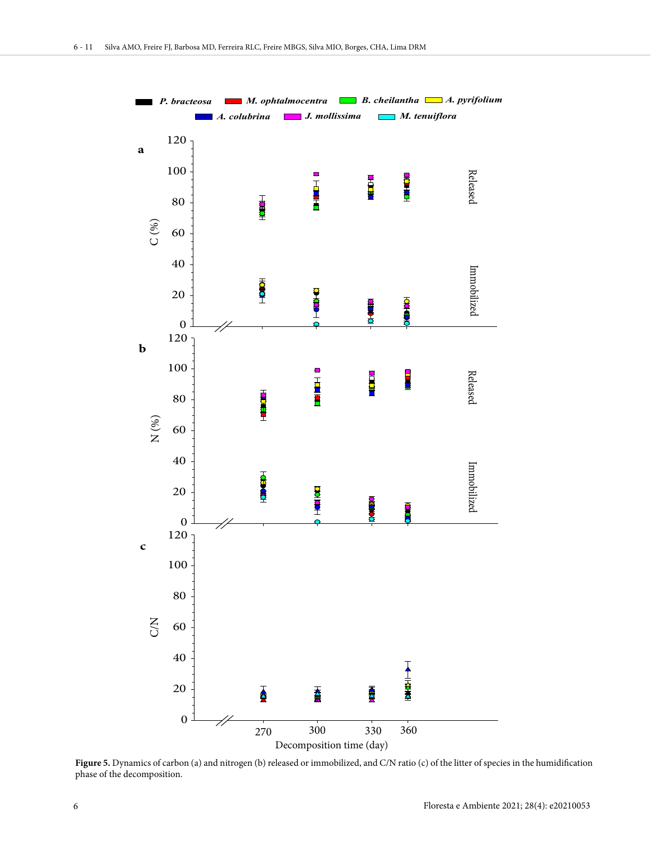

**Figure 5.** Dynamics of carbon (a) and nitrogen (b) released or immobilized, and C/N ratio (c) of the litter of species in the humidification phase of the decomposition.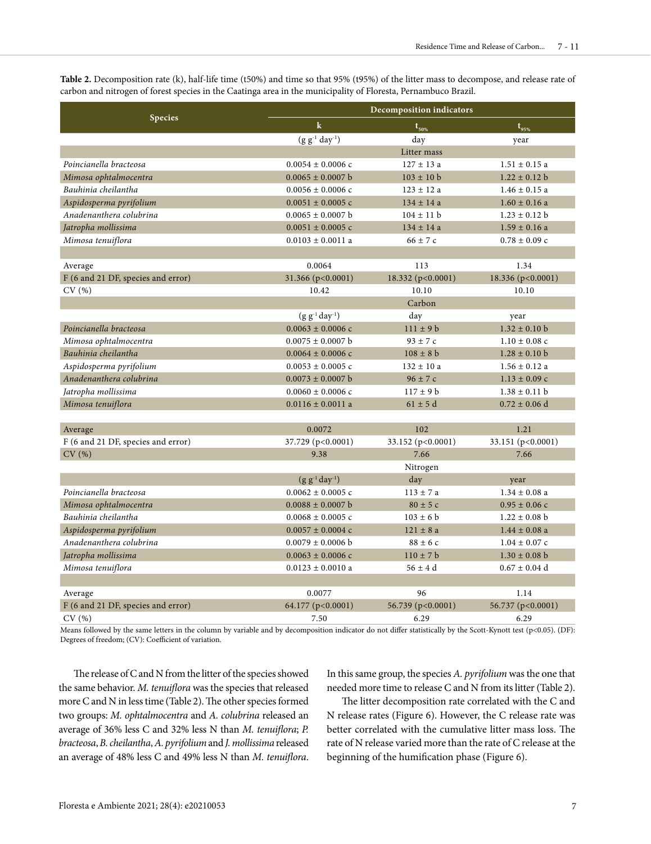**Table 2.** Decomposition rate (k), half-life time (t50%) and time so that 95% (t95%) of the litter mass to decompose, and release rate of carbon and nitrogen of forest species in the Caatinga area in the municipality of Floresta, Pernambuco Brazil.

|                                    | <b>Decomposition indicators</b> |                   |                   |  |  |
|------------------------------------|---------------------------------|-------------------|-------------------|--|--|
| <b>Species</b>                     | $\mathbf k$                     | $t_{50\%}$        | $t_{95\%}$        |  |  |
|                                    | $(g g^{-1} day^{-1})$           | day               | year              |  |  |
|                                    |                                 | Litter mass       |                   |  |  |
| Poincianella bracteosa             | $0.0054 \pm 0.0006$ c           | $127 \pm 13$ a    | $1.51 \pm 0.15$ a |  |  |
| Mimosa ophtalmocentra              | $0.0065 \pm 0.0007$ b           | $103 \pm 10$ b    | $1.22 \pm 0.12$ b |  |  |
| Bauhinia cheilantha                | $0.0056 \pm 0.0006$ c           | $123 \pm 12$ a    | $1.46 \pm 0.15$ a |  |  |
| Aspidosperma pyrifolium            | $0.0051 \pm 0.0005$ c           | $134 \pm 14$ a    | $1.60 \pm 0.16$ a |  |  |
| Anadenanthera colubrina            | $0.0065 \pm 0.0007$ b           | $104 \pm 11$ b    | $1.23 \pm 0.12$ b |  |  |
| Jatropha mollissima                | $0.0051 \pm 0.0005$ c           | $134 \pm 14$ a    | $1.59 \pm 0.16$ a |  |  |
| Mimosa tenuiflora                  | $0.0103 \pm 0.0011$ a           | $66 \pm 7c$       | $0.78 \pm 0.09$ c |  |  |
|                                    |                                 |                   |                   |  |  |
| Average                            | 0.0064                          | 113               | 1.34              |  |  |
| F (6 and 21 DF, species and error) | 31.366 (p<0.0001)               | 18.332 (p<0.0001) | 18.336 (p<0.0001) |  |  |
| CV(%)                              | 10.42                           | 10.10<br>10.10    |                   |  |  |
|                                    | Carbon                          |                   |                   |  |  |
|                                    | $(g g^{-1} day^{-1})$           | day               | year              |  |  |
| Poincianella bracteosa             | $0.0063 \pm 0.0006$ c           | $111 \pm 9$ b     | $1.32 \pm 0.10$ b |  |  |
| Mimosa ophtalmocentra              | $0.0075 \pm 0.0007$ b           | $93 \pm 7c$       | $1.10 \pm 0.08$ c |  |  |
| Bauhinia cheilantha                | $0.0064 \pm 0.0006$ c           | $108 \pm 8$ b     | $1.28 \pm 0.10$ b |  |  |
| Aspidosperma pyrifolium            | $0.0053 \pm 0.0005$ c           | $132 \pm 10a$     | $1.56 \pm 0.12$ a |  |  |
| Anadenanthera colubrina            | $0.0073 \pm 0.0007$ b           | $96 \pm 7c$       | $1.13 \pm 0.09$ c |  |  |
| Jatropha mollissima                | $0.0060 \pm 0.0006$ c           | $117 \pm 9$ b     | $1.38 \pm 0.11$ b |  |  |
| Mimosa tenuiflora                  | $0.0116 \pm 0.0011$ a           | $61 \pm 5$ d      | $0.72 \pm 0.06$ d |  |  |
|                                    |                                 |                   |                   |  |  |
| Average                            | 0.0072                          | 102               | 1.21              |  |  |
| F (6 and 21 DF, species and error) | 37.729 (p<0.0001)               | 33.152 (p<0.0001) | 33.151 (p<0.0001) |  |  |
| CV(%)                              | 9.38                            | 7.66<br>7.66      |                   |  |  |
|                                    | Nitrogen                        |                   |                   |  |  |
|                                    | $(g g^{-1} day^{-1})$           | day               | year              |  |  |
| Poincianella bracteosa             | $0.0062 \pm 0.0005$ c           | $113 \pm 7a$      | $1.34 \pm 0.08$ a |  |  |
| Mimosa ophtalmocentra              | $0.0088 \pm 0.0007$ b           | $80 \pm 5c$       | $0.95 \pm 0.06$ c |  |  |
| Bauhinia cheilantha                | $0.0068 \pm 0.0005$ c           | $103 \pm 6$ b     | $1.22 \pm 0.08$ b |  |  |
| Aspidosperma pyrifolium            | $0.0057 \pm 0.0004$ c           | $121 \pm 8$ a     | $1.44 \pm 0.08$ a |  |  |
| Anadenanthera colubrina            | $0.0079 \pm 0.0006$ b           | $88 \pm 6c$       | $1.04 \pm 0.07$ c |  |  |
| Jatropha mollissima                | $0.0063 \pm 0.0006$ c           | $110 \pm 7$ b     | $1.30 \pm 0.08$ b |  |  |
| Mimosa tenuiflora                  | $0.0123 \pm 0.0010$ a           | $56 \pm 4$ d      | $0.67 \pm 0.04$ d |  |  |
|                                    |                                 |                   |                   |  |  |
| Average                            | 0.0077                          | 96                | 1.14              |  |  |
| F (6 and 21 DF, species and error) | 64.177 (p<0.0001)               | 56.739 (p<0.0001) | 56.737 (p<0.0001) |  |  |
| CV(%)                              | 7.50                            | 6.29              | 6.29              |  |  |

Means followed by the same letters in the column by variable and by decomposition indicator do not differ statistically by the Scott-Kynott test (p<0.05). (DF): Degrees of freedom; (CV): Coefficient of variation.

The release of C and N from the litter of the species showed the same behavior. *M. tenuiflora* was the species that released more C and N in less time (Table 2). The other species formed two groups: *M. ophtalmocentra* and *A. colubrina* released an average of 36% less C and 32% less N than *M. tenuiflora*; *P. bracteosa*, *B. cheilantha*, *A. pyrifolium* and *J. mollissima* released an average of 48% less C and 49% less N than *M. tenuiflora*.

In this same group, the species *A. pyrifolium* was the one that needed more time to release C and N from its litter (Table 2).

The litter decomposition rate correlated with the C and N release rates (Figure 6). However, the C release rate was better correlated with the cumulative litter mass loss. The rate of N release varied more than the rate of C release at the beginning of the humification phase (Figure 6).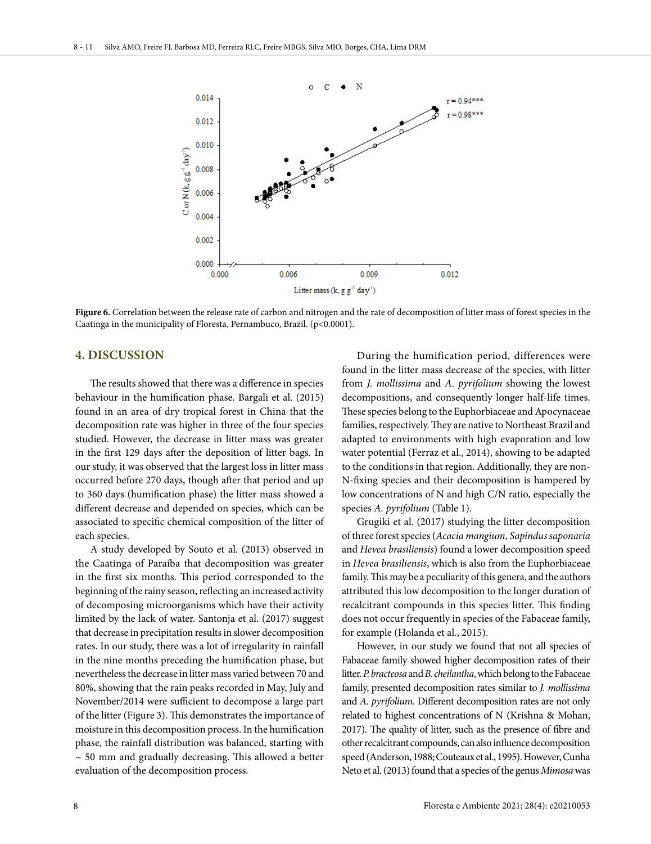

Figure 6. Correlation between the release rate of carbon and nitrogen and the rate of decomposition of litter mass of forest species in the Caatinga in the municipality of Floresta, Pernambuco, Brazil. (p<0.0001).

## **4. DISCUSSION**

The results showed that there was a difference in species behaviour in the humification phase. Bargali et al. (2015) found in an area of dry tropical forest in China that the decomposition rate was higher in three of the four species studied. However, the decrease in litter mass was greater in the first 129 days after the deposition of litter bags. In our study, it was observed that the largest loss in litter mass occurred before 270 days, though after that period and up to 360 days (humification phase) the litter mass showed a different decrease and depended on species, which can be associated to specific chemical composition of the litter of each species.

A study developed by Souto et al. (2013) observed in the Caatinga of Paraíba that decomposition was greater in the first six months. This period corresponded to the beginning of the rainy season, reflecting an increased activity of decomposing microorganisms which have their activity limited by the lack of water. Santonja et al. (2017) suggest that decrease in precipitation results in slower decomposition rates. In our study, there was a lot of irregularity in rainfall in the nine months preceding the humification phase, but nevertheless the decrease in litter mass varied between 70 and 80%, showing that the rain peaks recorded in May, July and November/2014 were sufficient to decompose a large part of the litter (Figure 3). This demonstrates the importance of moisture in this decomposition process. In the humification phase, the rainfall distribution was balanced, starting with  $\sim$  50 mm and gradually decreasing. This allowed a better evaluation of the decomposition process.

During the humification period, differences were found in the litter mass decrease of the species, with litter from *J. mollissima* and *A. pyrifolium* showing the lowest decompositions, and consequently longer half-life times. These species belong to the Euphorbiaceae and Apocynaceae families, respectively. They are native to Northeast Brazil and adapted to environments with high evaporation and low water potential (Ferraz et al., 2014), showing to be adapted to the conditions in that region. Additionally, they are non-N-fixing species and their decomposition is hampered by low concentrations of N and high C/N ratio, especially the species *A. pyrifolium* (Table 1).

Grugiki et al. (2017) studying the litter decomposition of three forest species (*Acacia mangium*, *Sapindus saponaria* and *Hevea brasiliensis*) found a lower decomposition speed in *Hevea brasiliensis*, which is also from the Euphorbiaceae family. This may be a peculiarity of this genera, and the authors attributed this low decomposition to the longer duration of recalcitrant compounds in this species litter. This finding does not occur frequently in species of the Fabaceae family, for example (Holanda et al., 2015).

However, in our study we found that not all species of Fabaceae family showed higher decomposition rates of their litter. *P. bracteosa* and *B. cheilantha*, which belong to the Fabaceae family, presented decomposition rates similar to *J. mollissima* and *A. pyrifolium*. Different decomposition rates are not only related to highest concentrations of N (Krishna & Mohan, 2017). The quality of litter, such as the presence of fibre and other recalcitrant compounds, can also influence decomposition speed (Anderson, 1988; Couteaux et al., 1995). However, Cunha Neto et al. (2013) found that a species of the genus *Mimosa* was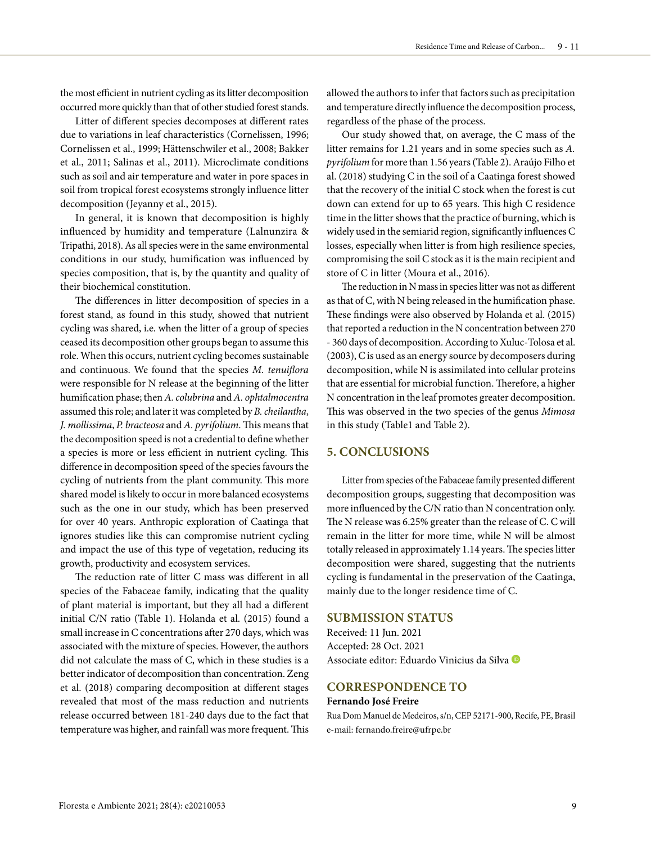the most efficient in nutrient cycling as its litter decomposition occurred more quickly than that of other studied forest stands.

Litter of different species decomposes at different rates due to variations in leaf characteristics (Cornelissen, 1996; Cornelissen et al., 1999; Hättenschwiler et al., 2008; Bakker et al., 2011; Salinas et al., 2011). Microclimate conditions such as soil and air temperature and water in pore spaces in soil from tropical forest ecosystems strongly influence litter decomposition (Jeyanny et al., 2015).

In general, it is known that decomposition is highly influenced by humidity and temperature (Lalnunzira & Tripathi, 2018). As all species were in the same environmental conditions in our study, humification was influenced by species composition, that is, by the quantity and quality of their biochemical constitution.

The differences in litter decomposition of species in a forest stand, as found in this study, showed that nutrient cycling was shared, i.e. when the litter of a group of species ceased its decomposition other groups began to assume this role. When this occurs, nutrient cycling becomes sustainable and continuous. We found that the species *M. tenuiflora* were responsible for N release at the beginning of the litter humification phase; then *A. colubrina* and *A. ophtalmocentra*  assumed this role; and later it was completed by *B. cheilantha*, *J. mollissima*, *P. bracteosa* and *A. pyrifolium*. This means that the decomposition speed is not a credential to define whether a species is more or less efficient in nutrient cycling. This difference in decomposition speed of the species favours the cycling of nutrients from the plant community. This more shared model is likely to occur in more balanced ecosystems such as the one in our study, which has been preserved for over 40 years. Anthropic exploration of Caatinga that ignores studies like this can compromise nutrient cycling and impact the use of this type of vegetation, reducing its growth, productivity and ecosystem services.

The reduction rate of litter C mass was different in all species of the Fabaceae family, indicating that the quality of plant material is important, but they all had a different initial C/N ratio (Table 1). Holanda et al. (2015) found a small increase in C concentrations after 270 days, which was associated with the mixture of species. However, the authors did not calculate the mass of C, which in these studies is a better indicator of decomposition than concentration. Zeng et al. (2018) comparing decomposition at different stages revealed that most of the mass reduction and nutrients release occurred between 181-240 days due to the fact that temperature was higher, and rainfall was more frequent. This

allowed the authors to infer that factors such as precipitation and temperature directly influence the decomposition process, regardless of the phase of the process.

Our study showed that, on average, the C mass of the litter remains for 1.21 years and in some species such as *A. pyrifolium* for more than 1.56 years (Table 2). Araújo Filho et al. (2018) studying C in the soil of a Caatinga forest showed that the recovery of the initial C stock when the forest is cut down can extend for up to 65 years. This high C residence time in the litter shows that the practice of burning, which is widely used in the semiarid region, significantly influences C losses, especially when litter is from high resilience species, compromising the soil C stock as it is the main recipient and store of C in litter (Moura et al., 2016).

The reduction in N mass in species litter was not as different as that of C, with N being released in the humification phase. These findings were also observed by Holanda et al. (2015) that reported a reduction in the N concentration between 270 - 360 days of decomposition. According to Xuluc-Tolosa et al. (2003), C is used as an energy source by decomposers during decomposition, while N is assimilated into cellular proteins that are essential for microbial function. Therefore, a higher N concentration in the leaf promotes greater decomposition. This was observed in the two species of the genus *Mimosa* in this study (Table1 and Table 2).

## **5. CONCLUSIONS**

Litter from species of the Fabaceae family presented different decomposition groups, suggesting that decomposition was more influenced by the C/N ratio than N concentration only. The N release was 6.25% greater than the release of C. C will remain in the litter for more time, while N will be almost totally released in approximately 1.14 years. The species litter decomposition were shared, suggesting that the nutrients cycling is fundamental in the preservation of the Caatinga, mainly due to the longer residence time of C.

#### **SUBMISSION STATUS**

Received: 11 Jun. 2021 Accepted: 28 Oct. 2021 Associate editor: Eduardo Vinicius da Silva

#### **CORRESPONDENCE TO**

#### **Fernando José Freire**

Rua Dom Manuel de Medeiros, s/n, CEP 52171-900, Recife, PE, Brasil e-mail: fernando.freire@ufrpe.br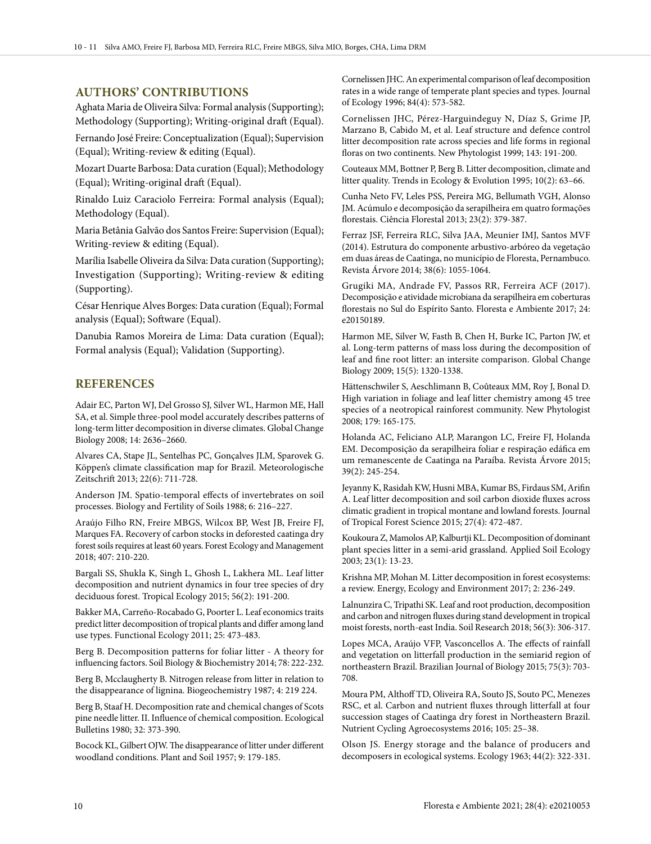## **AUTHORS' CONTRIBUTIONS**

Aghata Maria de Oliveira Silva: Formal analysis (Supporting); Methodology (Supporting); Writing-original draft (Equal).

Fernando José Freire: Conceptualization (Equal); Supervision (Equal); Writing-review & editing (Equal).

Mozart Duarte Barbosa: Data curation (Equal); Methodology (Equal); Writing-original draft (Equal).

Rinaldo Luiz Caraciolo Ferreira: Formal analysis (Equal); Methodology (Equal).

Maria Betânia Galvão dos Santos Freire: Supervision (Equal); Writing-review & editing (Equal).

Marília Isabelle Oliveira da Silva: Data curation (Supporting); Investigation (Supporting); Writing-review & editing (Supporting).

César Henrique Alves Borges: Data curation (Equal); Formal analysis (Equal); Software (Equal).

Danubia Ramos Moreira de Lima: Data curation (Equal); Formal analysis (Equal); Validation (Supporting).

#### **REFERENCES**

Adair EC, Parton WJ, Del Grosso SJ, Silver WL, Harmon ME, Hall SA, et al. Simple three-pool model accurately describes patterns of long-term litter decomposition in diverse climates. Global Change Biology 2008; 14: 2636–2660.

Alvares CA, Stape JL, Sentelhas PC, Gonçalves JLM, Sparovek G. Köppen's climate classification map for Brazil. Meteorologische Zeitschrift 2013; 22(6): 711-728.

Anderson JM. Spatio-temporal effects of invertebrates on soil processes. Biology and Fertility of Soils 1988; 6: 216–227.

Araújo Filho RN, Freire MBGS, Wilcox BP, West JB, Freire FJ, Marques FA. Recovery of carbon stocks in deforested caatinga dry forest soils requires at least 60 years. Forest Ecology and Management 2018; 407: 210-220.

Bargali SS, Shukla K, Singh L, Ghosh L, Lakhera ML. Leaf litter decomposition and nutrient dynamics in four tree species of dry deciduous forest. Tropical Ecology 2015; 56(2): 191-200.

Bakker MA, Carreño-Rocabado G, Poorter L. Leaf economics traits predict litter decomposition of tropical plants and differ among land use types. Functional Ecology 2011; 25: 473-483.

Berg B. Decomposition patterns for foliar litter - A theory for influencing factors. Soil Biology & Biochemistry 2014; 78: 222-232.

Berg B, Mcclaugherty B. Nitrogen release from litter in relation to the disappearance of lignina. Biogeochemistry 1987; 4: 219 224.

Berg B, Staaf H. Decomposition rate and chemical changes of Scots pine needle litter. II. Influence of chemical composition. Ecological Bulletins 1980; 32: 373-390.

Bocock KL, Gilbert OJW. The disappearance of litter under different woodland conditions. Plant and Soil 1957; 9: 179-185.

Cornelissen JHC. An experimental comparison of leaf decomposition rates in a wide range of temperate plant species and types. Journal of Ecology 1996; 84(4): 573-582.

Cornelissen JHC, Pérez-Harguindeguy N, Díaz S, Grime JP, Marzano B, Cabido M, et al. Leaf structure and defence control litter decomposition rate across species and life forms in regional floras on two continents. New Phytologist 1999; 143: 191-200.

Couteaux MM, Bottner P, Berg B. Litter decomposition, climate and litter quality. Trends in Ecology & Evolution 1995; 10(2): 63–66.

Cunha Neto FV, Leles PSS, Pereira MG, Bellumath VGH, Alonso JM. Acúmulo e decomposição da serapilheira em quatro formações florestais. Ciência Florestal 2013; 23(2): 379-387.

Ferraz JSF, Ferreira RLC, Silva JAA, Meunier IMJ, Santos MVF (2014). Estrutura do componente arbustivo-arbóreo da vegetação em duas áreas de Caatinga, no município de Floresta, Pernambuco. Revista Árvore 2014; 38(6): 1055-1064.

Grugiki MA, Andrade FV, Passos RR, Ferreira ACF (2017). Decomposição e atividade microbiana da serapilheira em coberturas florestais no Sul do Espírito Santo. Floresta e Ambiente 2017; 24: e20150189.

Harmon ME, Silver W, Fasth B, Chen H, Burke IC, Parton JW, et al. Long-term patterns of mass loss during the decomposition of leaf and fine root litter: an intersite comparison. Global Change Biology 2009; 15(5): 1320-1338.

Hättenschwiler S, Aeschlimann B, Coûteaux MM, Roy J, Bonal D. High variation in foliage and leaf litter chemistry among 45 tree species of a neotropical rainforest community. New Phytologist 2008; 179: 165-175.

Holanda AC, Feliciano ALP, Marangon LC, Freire FJ, Holanda EM. Decomposição da serapilheira foliar e respiração edáfica em um remanescente de Caatinga na Paraíba. Revista Árvore 2015; 39(2): 245-254.

Jeyanny K, Rasidah KW, Husni MBA, Kumar BS, Firdaus SM, Arifin A. Leaf litter decomposition and soil carbon dioxide fluxes across climatic gradient in tropical montane and lowland forests. Journal of Tropical Forest Science 2015; 27(4): 472-487.

Koukoura Z, Mamolos AP, Kalburtji KL. Decomposition of dominant plant species litter in a semi-arid grassland. Applied Soil Ecology 2003; 23(1): 13-23.

Krishna MP, Mohan M. Litter decomposition in forest ecosystems: a review. Energy, Ecology and Environment 2017; 2: 236-249.

Lalnunzira C, Tripathi SK. Leaf and root production, decomposition and carbon and nitrogen fluxes during stand development in tropical moist forests, north-east India. Soil Research 2018; 56(3): 306-317.

Lopes MCA, Araújo VFP, Vasconcellos A. The effects of rainfall and vegetation on litterfall production in the semiarid region of northeastern Brazil. Brazilian Journal of Biology 2015; 75(3): 703- 708.

Moura PM, Althoff TD, Oliveira RA, Souto JS, Souto PC, Menezes RSC, et al. Carbon and nutrient fluxes through litterfall at four succession stages of Caatinga dry forest in Northeastern Brazil. Nutrient Cycling Agroecosystems 2016; 105: 25–38.

Olson JS. Energy storage and the balance of producers and decomposers in ecological systems. Ecology 1963; 44(2): 322-331.